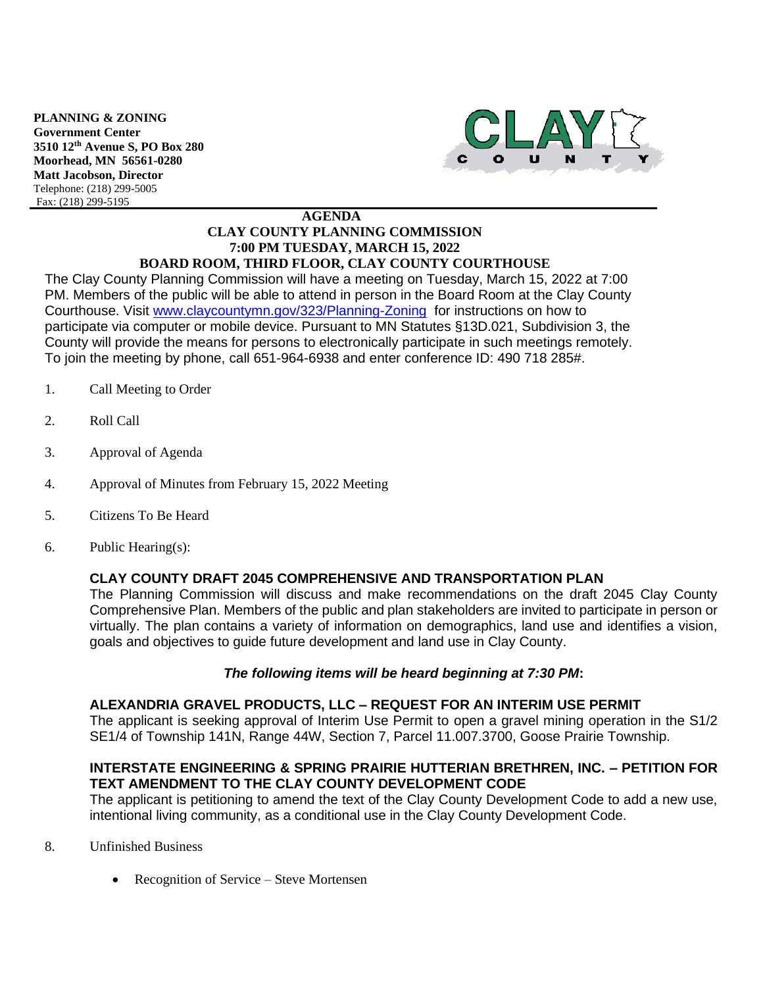**PLANNING & ZONING Government Center 3510 12th Avenue S, PO Box 280 Moorhead, MN 56561-0280 Matt Jacobson, Director** Telephone: (218) 299-5005 Fax: (218) 299-5195



#### **AGENDA CLAY COUNTY PLANNING COMMISSION 7:00 PM TUESDAY, MARCH 15, 2022 BOARD ROOM, THIRD FLOOR, CLAY COUNTY COURTHOUSE**

The Clay County Planning Commission will have a meeting on Tuesday, March 15, 2022 at 7:00 PM. Members of the public will be able to attend in person in the Board Room at the Clay County Courthouse. Visit [www.claycountymn.gov/323/Planning-Zoning](http://www.claycountymn.gov/323/Planning-Zoning) for instructions on how to participate via computer or mobile device. Pursuant to MN Statutes §13D.021, Subdivision 3, the County will provide the means for persons to electronically participate in such meetings remotely. To join the meeting by phone, call 651-964-6938 and enter conference ID: 490 718 285#.

- 1. Call Meeting to Order
- 2. Roll Call
- 3. Approval of Agenda
- 4. Approval of Minutes from February 15, 2022 Meeting
- 5. Citizens To Be Heard
- 6. Public Hearing(s):

# **CLAY COUNTY DRAFT 2045 COMPREHENSIVE AND TRANSPORTATION PLAN**

The Planning Commission will discuss and make recommendations on the draft 2045 Clay County Comprehensive Plan. Members of the public and plan stakeholders are invited to participate in person or virtually. The plan contains a variety of information on demographics, land use and identifies a vision, goals and objectives to guide future development and land use in Clay County.

### *The following items will be heard beginning at 7:30 PM***:**

### **ALEXANDRIA GRAVEL PRODUCTS, LLC – REQUEST FOR AN INTERIM USE PERMIT**

The applicant is seeking approval of Interim Use Permit to open a gravel mining operation in the S1/2 SE1/4 of Township 141N, Range 44W, Section 7, Parcel 11.007.3700, Goose Prairie Township.

## **INTERSTATE ENGINEERING & SPRING PRAIRIE HUTTERIAN BRETHREN, INC. – PETITION FOR TEXT AMENDMENT TO THE CLAY COUNTY DEVELOPMENT CODE**

The applicant is petitioning to amend the text of the Clay County Development Code to add a new use, intentional living community, as a conditional use in the Clay County Development Code.

- 8. Unfinished Business
	- Recognition of Service Steve Mortensen